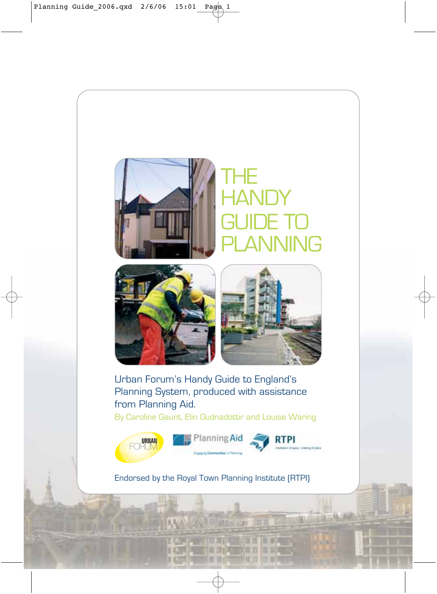

# THE THE HANUY<br>OLUDE 7 **GUIDE TO** PLANI **HANDY** GUIDE TO **NING**



Urban Forum's Handy Guide to England's Planning System, produced with assistance from Planning Aid.

By Caroline Gaunt, Elin Gudnadottir and Louise Waring



顶面面 **RADIANO AR** 世首印

Endorsed by the Royal Town Planning Institute (RTPI)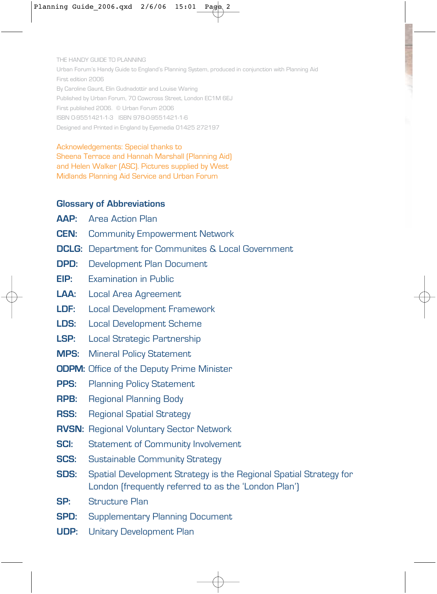THE HANDY GUIDE TO PLANNING Urban Forum's Handy Guide to England's Planning System, produced in conjunction with Planning Aid First edition 2006 By Caroline Gaunt, Elin Gudnadottir and Louise Waring Published by Urban Forum, 70 Cowcross Street, London EC1M 6EJ First published 2006. © Urban Forum 2006 ISBN 0-9551421-1-3 ISBN 978-0-9551421-1-6 Designed and Printed in England by Eyemedia 01425 272197

Acknowledgements: Special thanks to Sheena Terrace and Hannah Marshall (Planning Aid) and Helen Walker (ASC). Pictures supplied by West Midlands Planning Aid Service and Urban Forum

#### **Glossary of Abbreviations**

- **AAP:** Area Action Plan
- **CEN:** Community Empowerment Network
- **DCLG:** Department for Communites & Local Government
- **DPD:** Development Plan Document
- **EIP:** Examination in Public
- **LAA:** Local Area Agreement
- **LDF:** Local Development Framework
- **LDS:** Local Development Scheme
- **LSP:** Local Strategic Partnership
- **MPS:** Mineral Policy Statement
- **ODPM:** Office of the Deputy Prime Minister
- **PPS:** Planning Policy Statement
- **RPB:** Regional Planning Body
- **RSS:** Regional Spatial Strategy
- **RVSN:** Regional Voluntary Sector Network
- **SCI:** Statement of Community Involvement
- **SCS:** Sustainable Community Strategy
- **SDS:** Spatial Development Strategy is the Regional Spatial Strategy for London (frequently referred to as the 'London Plan')
- **SP:** Structure Plan
- **SPD:** Supplementary Planning Document
- **UDP:** Unitary Development Plan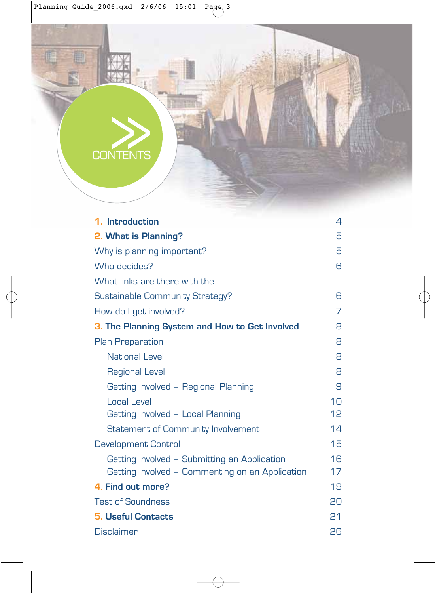| 1. Introduction                                 | 4               |
|-------------------------------------------------|-----------------|
| 2. What is Planning?                            | 5               |
| Why is planning important?                      | 5               |
| Who decides?                                    | 6               |
| What links are there with the                   |                 |
| Sustainable Community Strategy?                 | 6               |
| How do I get involved?                          | 7               |
| 3. The Planning System and How to Get Involved  | 8               |
| <b>Plan Preparation</b>                         | 8               |
| National Level                                  | 8               |
| <b>Regional Level</b>                           | 8               |
| Getting Involved - Regional Planning            | 9               |
| Local Level                                     | 1 <sub>0</sub>  |
| Getting Involved - Local Planning               | 12 <sup>°</sup> |
| Statement of Community Involvement              | 14              |
| <b>Development Control</b>                      | 15              |
| Getting Involved - Submitting an Application    | 16              |
| Getting Involved - Commenting on an Application | 17              |
| 4. Find out more?                               | 19              |
| <b>Test of Soundness</b>                        | 20              |
| <b>5. Useful Contacts</b>                       | P <sub>1</sub>  |
| Disclaimer                                      | 26              |

CONTENTS

E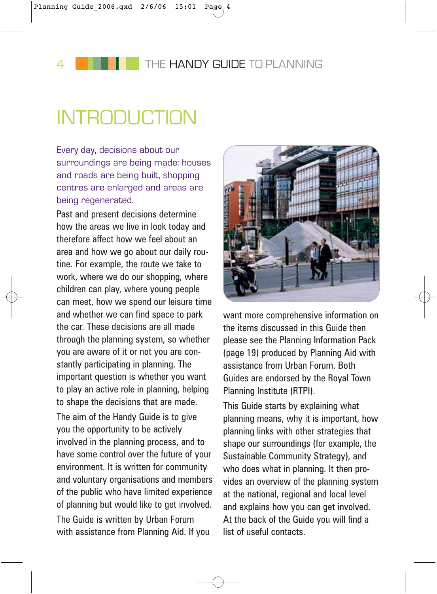# **INTRODUCTION**

Every day, decisions about our surroundings are being made: houses and roads are being built, shopping centres are enlarged and areas are being regenerated.

Past and present decisions determine how the areas we live in look today and therefore affect how we feel about an area and how we go about our daily routine. For example, the route we take to work, where we do our shopping, where children can play, where young people can meet, how we spend our leisure time and whether we can find space to park the car. These decisions are all made through the planning system, so whether you are aware of it or not you are constantly participating in planning. The important question is whether you want to play an active role in planning, helping to shape the decisions that are made. The aim of the Handy Guide is to give you the opportunity to be actively involved in the planning process, and to have some control over the future of your environment. It is written for community and voluntary organisations and members of the public who have limited experience of planning but would like to get involved. The Guide is written by Urban Forum with assistance from Planning Aid. If you



want more comprehensive information on the items discussed in this Guide then please see the Planning Information Pack (page 19) produced by Planning Aid with assistance from Urban Forum. Both Guides are endorsed by the Royal Town Planning Institute (RTPI).

This Guide starts by explaining what planning means, why it is important, how planning links with other strategies that shape our surroundings (for example, the Sustainable Community Strategy), and who does what in planning. It then provides an overview of the planning system at the national, regional and local level and explains how you can get involved. At the back of the Guide you will find a list of useful contacts.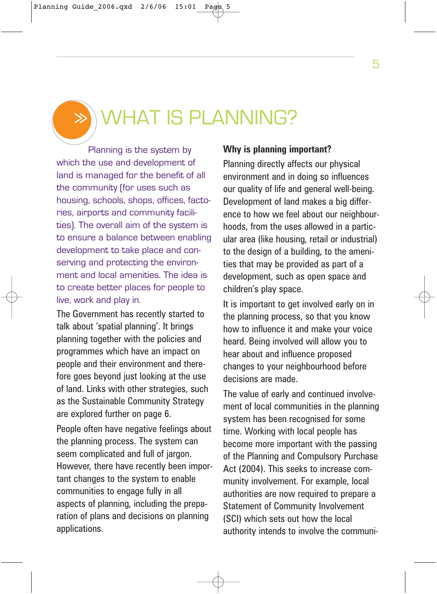>>

# WHAT IS PLANNING?

Planning is the system by which the use and development of land is managed for the benefit of all the community (for uses such as housing, schools, shops, offices, factories, airports and community facilities). The overall aim of the system is to ensure a balance between enabling development to take place and conserving and protecting the environment and local amenities. The idea is to create better places for people to live, work and play in.

The Government has recently started to talk about 'spatial planning'. It brings planning together with the policies and programmes which have an impact on people and their environment and therefore goes beyond just looking at the use of land. Links with other strategies, such as the Sustainable Community Strategy are explored further on page 6.

People often have negative feelings about the planning process. The system can seem complicated and full of jargon. However, there have recently been important changes to the system to enable communities to engage fully in all aspects of planning, including the preparation of plans and decisions on planning applications.

### **Why is planning important?**

Planning directly affects our physical environment and in doing so influences our quality of life and general well-being. Development of land makes a big difference to how we feel about our neighbourhoods, from the uses allowed in a particular area (like housing, retail or industrial) to the design of a building, to the amenities that may be provided as part of a development, such as open space and children's play space.

It is important to get involved early on in the planning process, so that you know how to influence it and make your voice heard. Being involved will allow you to hear about and influence proposed changes to your neighbourhood before decisions are made.

The value of early and continued involvement of local communities in the planning system has been recognised for some time. Working with local people has become more important with the passing of the Planning and Compulsory Purchase Act (2004). This seeks to increase community involvement. For example, local authorities are now required to prepare a Statement of Community Involvement (SCI) which sets out how the local authority intends to involve the communi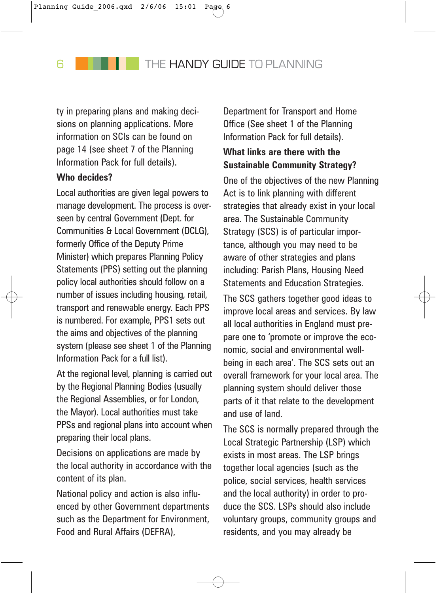ty in preparing plans and making decisions on planning applications. More information on SCIs can be found on page 14 (see sheet 7 of the Planning Information Pack for full details).

### **Who decides?**

Local authorities are given legal powers to manage development. The process is overseen by central Government (Dept. for Communities & Local Government (DCLG), formerly Office of the Deputy Prime Minister) which prepares Planning Policy Statements (PPS) setting out the planning policy local authorities should follow on a number of issues including housing, retail, transport and renewable energy. Each PPS is numbered. For example, PPS1 sets out the aims and objectives of the planning system (please see sheet 1 of the Planning Information Pack for a full list).

At the regional level, planning is carried out by the Regional Planning Bodies (usually the Regional Assemblies, or for London, the Mayor). Local authorities must take PPSs and regional plans into account when preparing their local plans.

Decisions on applications are made by the local authority in accordance with the content of its plan.

National policy and action is also influenced by other Government departments such as the Department for Environment, Food and Rural Affairs (DEFRA),

Department for Transport and Home Office (See sheet 1 of the Planning Information Pack for full details).

### **What links are there with the Sustainable Community Strategy?**

One of the objectives of the new Planning Act is to link planning with different strategies that already exist in your local area. The Sustainable Community Strategy (SCS) is of particular importance, although you may need to be aware of other strategies and plans including: Parish Plans, Housing Need Statements and Education Strategies.

The SCS gathers together good ideas to improve local areas and services. By law all local authorities in England must prepare one to 'promote or improve the economic, social and environmental wellbeing in each area'. The SCS sets out an overall framework for your local area. The planning system should deliver those parts of it that relate to the development and use of land.

The SCS is normally prepared through the Local Strategic Partnership (LSP) which exists in most areas. The LSP brings together local agencies (such as the police, social services, health services and the local authority) in order to produce the SCS. LSPs should also include voluntary groups, community groups and residents, and you may already be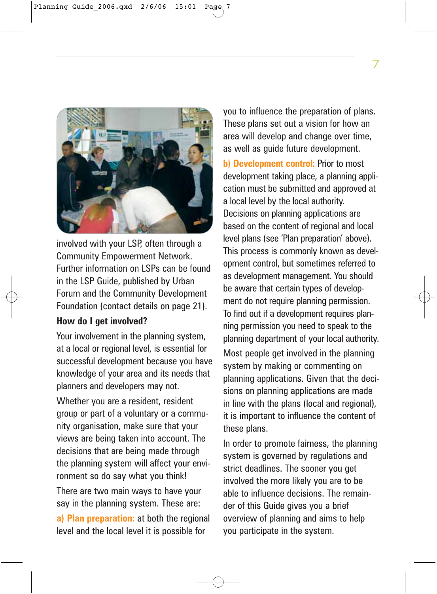

involved with your LSP, often through a Community Empowerment Network. Further information on LSPs can be found in the LSP Guide, published by Urban Forum and the Community Development Foundation (contact details on page 21).

### **How do I get involved?**

Your involvement in the planning system, at a local or regional level, is essential for successful development because you have knowledge of your area and its needs that planners and developers may not.

Whether you are a resident, resident group or part of a voluntary or a community organisation, make sure that your views are being taken into account. The decisions that are being made through the planning system will affect your environment so do say what you think!

There are two main ways to have your say in the planning system. These are:

**a) Plan preparation:** at both the regional level and the local level it is possible for

you to influence the preparation of plans. These plans set out a vision for how an area will develop and change over time, as well as guide future development.

**b) Development control:** Prior to most development taking place, a planning application must be submitted and approved at a local level by the local authority. Decisions on planning applications are based on the content of regional and local level plans (see 'Plan preparation' above). This process is commonly known as development control, but sometimes referred to as development management. You should be aware that certain types of development do not require planning permission. To find out if a development requires planning permission you need to speak to the planning department of your local authority. Most people get involved in the planning system by making or commenting on planning applications. Given that the decisions on planning applications are made in line with the plans (local and regional), it is important to influence the content of these plans.

In order to promote fairness, the planning system is governed by regulations and strict deadlines. The sooner you get involved the more likely you are to be able to influence decisions. The remainder of this Guide gives you a brief overview of planning and aims to help you participate in the system.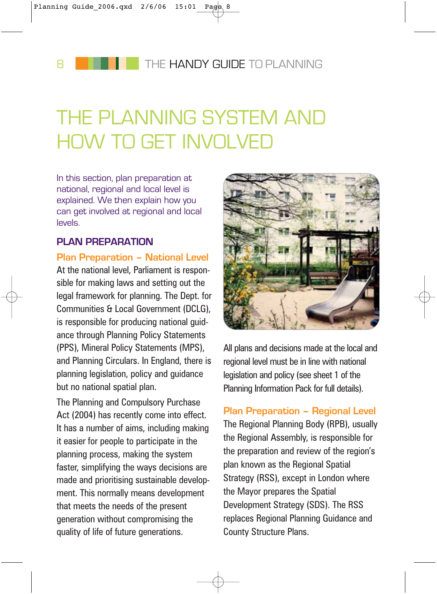# THE PLANNING SYSTEM AND HOW TO GET INVOLVED

In this section, plan preparation at national, regional and local level is explained. We then explain how you can get involved at regional and local levels.

### **PLAN PREPARATION**

### **Plan Preparation – National Level**

At the national level, Parliament is responsible for making laws and setting out the legal framework for planning. The Dept. for Communities & Local Government (DCLG), is responsible for producing national guidance through Planning Policy Statements (PPS), Mineral Policy Statements (MPS), and Planning Circulars. In England, there is planning legislation, policy and guidance but no national spatial plan.

The Planning and Compulsory Purchase Act (2004) has recently come into effect. It has a number of aims, including making it easier for people to participate in the planning process, making the system faster, simplifying the ways decisions are made and prioritising sustainable development. This normally means development that meets the needs of the present generation without compromising the quality of life of future generations.



All plans and decisions made at the local and regional level must be in line with national legislation and policy (see sheet 1 of the Planning Information Pack for full details).

**Plan Preparation – Regional Level** The Regional Planning Body (RPB), usually the Regional Assembly, is responsible for the preparation and review of the region's plan known as the Regional Spatial Strategy (RSS), except in London where the Mayor prepares the Spatial Development Strategy (SDS). The RSS replaces Regional Planning Guidance and County Structure Plans.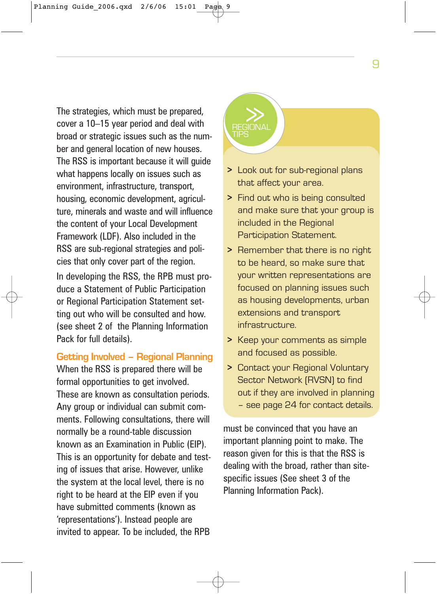The strategies, which must be prepared,<br>cover a 10–15 year period and deal with broad or strategic issues such as the number and general location of new houses. The RSS is important because it will guide what happens locally on issues such as environment, infrastructure, transport, housing, economic development, agriculture, minerals and waste and will influence the content of your Local Development Framework (LDF). Also included in the RSS are sub-regional strategies and policies that only cover part of the region. In developing the RSS, the RPB must produce a Statement of Public Participation or Regional Participation Statement setting out who will be consulted and how. (see sheet 2 of the Planning Information Pack for full details).

### **Getting Involved – Regional Planning**

When the RSS is prepared there will be formal opportunities to get involved. These are known as consultation periods. Any group or individual can submit comments. Following consultations, there will normally be a round-table discussion known as an Examination in Public (EIP). This is an opportunity for debate and testing of issues that arise. However, unlike the system at the local level, there is no right to be heard at the EIP even if you have submitted comments (known as 'representations'). Instead people are invited to appear. To be included, the RPB

# TIPS

- **>** Look out for sub-regional plans that affect your area.
- **>** Find out who is being consulted and make sure that your group is included in the Regional Participation Statement.
- **>** Remember that there is no right to be heard, so make sure that your written representations are focused on planning issues such as housing developments, urban extensions and transport infrastructure.
- **>** Keep your comments as simple and focused as possible.
- **>** Contact your Regional Voluntary Sector Network (RVSN) to find out if they are involved in planning – see page 24 for contact details.

must be convinced that you have an important planning point to make. The reason given for this is that the RSS is dealing with the broad, rather than sitespecific issues (See sheet 3 of the Planning Information Pack).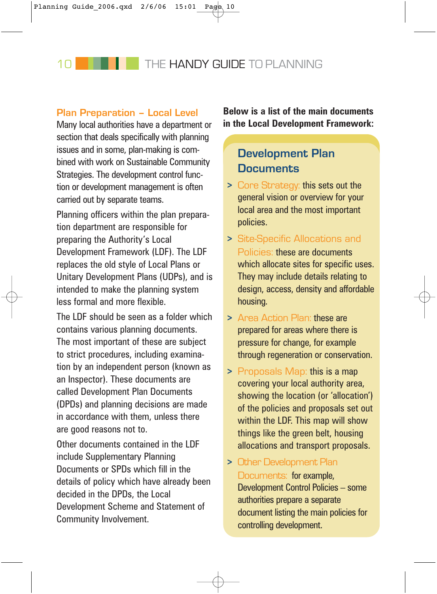### **Plan Preparation – Local Level**

Many local authorities have a department or section that deals specifically with planning issues and in some, plan-making is combined with work on Sustainable Community Strategies. The development control function or development management is often carried out by separate teams.

Planning officers within the plan preparation department are responsible for preparing the Authority's Local Development Framework (LDF). The LDF replaces the old style of Local Plans or Unitary Development Plans (UDPs), and is intended to make the planning system less formal and more flexible.

The LDF should be seen as a folder which contains various planning documents. The most important of these are subject to strict procedures, including examination by an independent person (known as an Inspector). These documents are called Development Plan Documents (DPDs) and planning decisions are made in accordance with them, unless there are good reasons not to.

Other documents contained in the LDF include Supplementary Planning Documents or SPDs which fill in the details of policy which have already been decided in the DPDs, the Local Development Scheme and Statement of Community Involvement.

**Below is a list of the main documents in the Local Development Framework:** 

## **Development Plan Documents**

- **>** Core Strategy: this sets out the general vision or overview for your local area and the most important policies.
- **>** Site-Specific Allocations and Policies: these are documents which allocate sites for specific uses. They may include details relating to design, access, density and affordable housing.
- **>** Area Action Plan: these are prepared for areas where there is pressure for change, for example through regeneration or conservation.
- **>** Proposals Map: this is a map covering your local authority area, showing the location (or 'allocation') of the policies and proposals set out within the LDF. This map will show things like the green belt, housing allocations and transport proposals.
- **>** Other Development Plan Documents: for example, Development Control Policies – some authorities prepare a separate document listing the main policies for controlling development.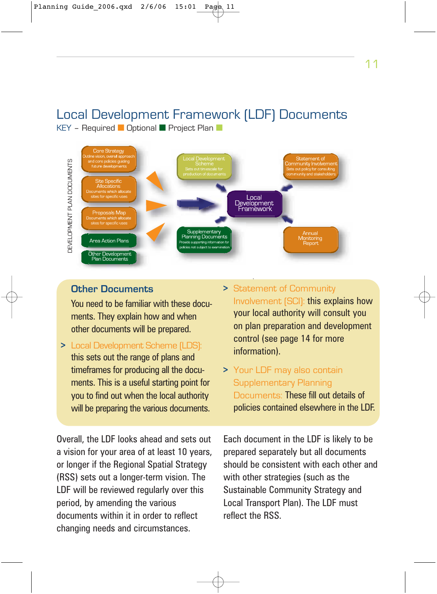### Local Development Framework (LDF) Documents KEY – Required ■ Optional ■ Project Plan ■



### **Other Documents**

You need to be familiar with these documents. They explain how and when other documents will be prepared.

**>** Local Development Scheme (LDS): this sets out the range of plans and timeframes for producing all the documents. This is a useful starting point for you to find out when the local authority will be preparing the various documents.

Overall, the LDF looks ahead and sets out a vision for your area of at least 10 years, or longer if the Regional Spatial Strategy (RSS) sets out a longer-term vision. The LDF will be reviewed regularly over this period, by amending the various documents within it in order to reflect changing needs and circumstances.

- **>** Statement of Community Involvement (SCI): this explains how your local authority will consult you on plan preparation and development control (see page 14 for more information).
- **>** Your LDF may also contain Supplementary Planning Documents: These fill out details of policies contained elsewhere in the LDF.

Each document in the LDF is likely to be prepared separately but all documents should be consistent with each other and with other strategies (such as the Sustainable Community Strategy and Local Transport Plan). The LDF must reflect the RSS.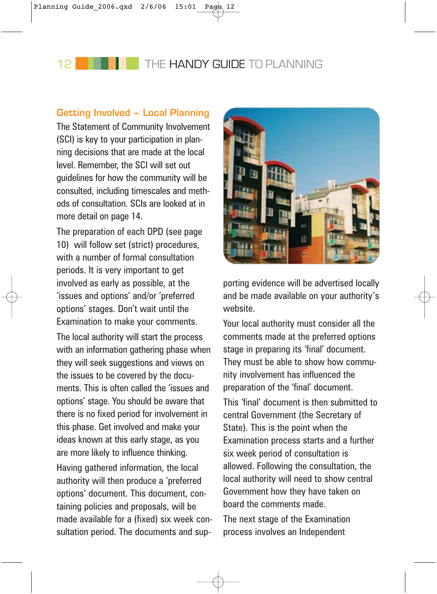### **Getting Involved – Local Planning**

The Statement of Community Involvement (SCI) is key to your participation in planning decisions that are made at the local level. Remember, the SCI will set out guidelines for how the community will be consulted, including timescales and methods of consultation. SCIs are looked at in more detail on page 14.

The preparation of each DPD (see page 10) will follow set (strict) procedures, with a number of formal consultation periods. It is very important to get involved as early as possible, at the 'issues and options' and/or 'preferred options' stages. Don't wait until the Examination to make your comments.

The local authority will start the process with an information gathering phase when they will seek suggestions and views on the issues to be covered by the documents. This is often called the 'issues and options' stage. You should be aware that there is no fixed period for involvement in this phase. Get involved and make your ideas known at this early stage, as you are more likely to influence thinking.

Having gathered information, the local authority will then produce a 'preferred options' document. This document, containing policies and proposals, will be made available for a (fixed) six week consultation period. The documents and sup-



porting evidence will be advertised locally and be made available on your authority's website.

Your local authority must consider all the comments made at the preferred options stage in preparing its 'final' document. They must be able to show how community involvement has influenced the preparation of the 'final' document.

This 'final' document is then submitted to central Government (the Secretary of State). This is the point when the Examination process starts and a further six week period of consultation is allowed. Following the consultation, the local authority will need to show central Government how they have taken on board the comments made.

The next stage of the Examination process involves an Independent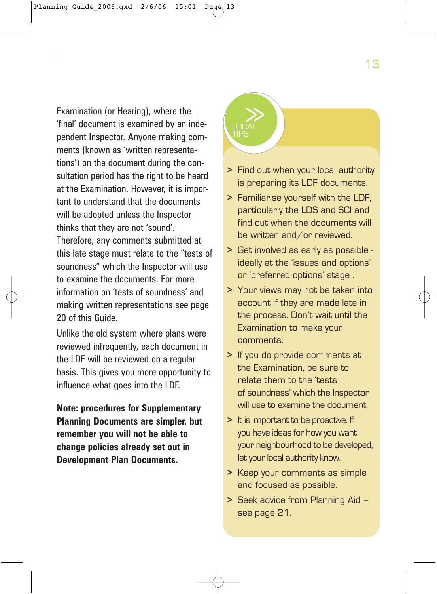Examination (or Hearing), where the<br>'final' document is examined by an independent Inspector. Anyone making comments (known as 'written representations') on the document during the consultation period has the right to be heard at the Examination. However, it is important to understand that the documents will be adopted unless the Inspector thinks that they are not 'sound'. Therefore, any comments submitted at this late stage must relate to the "tests of soundness" which the Inspector will use to examine the documents. For more information on 'tests of soundness' and making written representations see page 20 of this Guide.

Unlike the old system where plans were reviewed infrequently, each document in the LDF will be reviewed on a regular basis. This gives you more opportunity to influence what goes into the LDF.

**Note: procedures for Supplementary Planning Documents are simpler, but remember you will not be able to change policies already set out in Development Plan Documents.**

# **LOCAL** TIPS

- **>** Find out when your local authority is preparing its LDF documents.
- **>** Familiarise yourself with the LDF, particularly the LDS and SCI and find out when the documents will be written and/or reviewed.
- **>** Get involved as early as possible ideally at the 'issues and options' or 'preferred options' stage .
- **>** Your views may not be taken into account if they are made late in the process. Don't wait until the Examination to make your comments.
- **>** If you do provide comments at the Examination, be sure to relate them to the 'tests of soundness' which the Inspector will use to examine the document.
- **>** It is important to be proactive. If you have ideas for how you want your neighbourhood to be developed, let your local authority know.
- **>** Keep your comments as simple and focused as possible.
- **>** Seek advice from Planning Aid see page 21.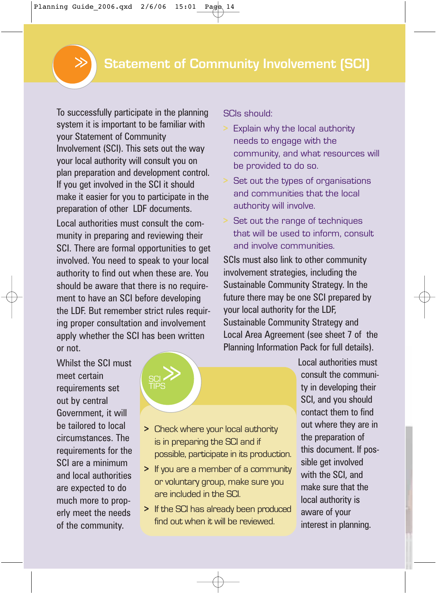To successfully participate in the planning system it is important to be familiar with your Statement of Community Involvement (SCI). This sets out the way your local authority will consult you on plan preparation and development control. If you get involved in the SCI it should make it easier for you to participate in the preparation of other LDF documents.

Local authorities must consult the community in preparing and reviewing their SCI. There are formal opportunities to get involved. You need to speak to your local authority to find out when these are. You should be aware that there is no requirement to have an SCI before developing the LDF. But remember strict rules requiring proper consultation and involvement apply whether the SCI has been written or not.

Whilst the SCI must meet certain requirements set out by central Government, it will be tailored to local circumstances. The requirements for the SCI are a minimum and local authorities are expected to do much more to properly meet the needs of the community.

# **SCI** TIPS  $\gg$

SCIs should:

- Explain why the local authority needs to engage with the community, and what resources will be provided to do so.
- **>** Set out the types of organisations and communities that the local authority will involve.
- **>** Set out the range of techniques that will be used to inform, consult and involve communities.

SCIs must also link to other community involvement strategies, including the Sustainable Community Strategy. In the future there may be one SCI prepared by your local authority for the LDF, Sustainable Community Strategy and Local Area Agreement (see sheet 7 of the Planning Information Pack for full details).

> consult the community in developing their SCI, and you should contact them to find out where they are in the preparation of this document. If possible get involved with the SCI, and make sure that the local authority is aware of your interest in planning.

Local authorities must

**>** Check where your local authority is in preparing the SCI and if possible, participate in its production.

- **>** If you are a member of a community or voluntary group, make sure you are included in the SCI.
- **>** If the SCI has already been produced find out when it will be reviewed.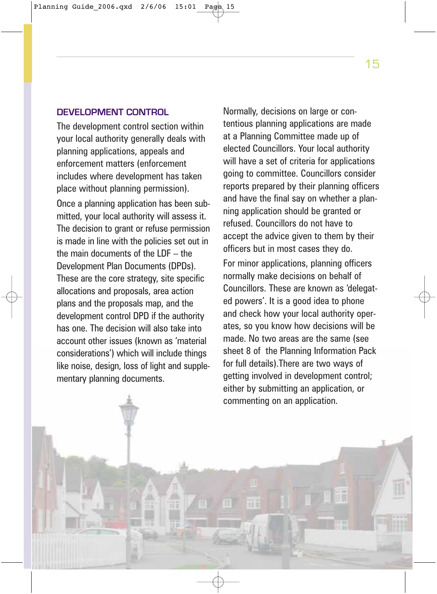#### **DEVELOPMENT CONTROL**

The development control section within your local authority generally deals with planning applications, appeals and enforcement matters (enforcement includes where development has taken place without planning permission). Once a planning application has been submitted, your local authority will assess it. The decision to grant or refuse permission is made in line with the policies set out in the main documents of the LDF – the Development Plan Documents (DPDs). These are the core strategy, site specific allocations and proposals, area action plans and the proposals map, and the development control DPD if the authority has one. The decision will also take into account other issues (known as 'material considerations') which will include things like noise, design, loss of light and supplementary planning documents.

Normally, decisions on large or contentious planning applications are made at a Planning Committee made up of elected Councillors. Your local authority will have a set of criteria for applications going to committee. Councillors consider reports prepared by their planning officers and have the final say on whether a planning application should be granted or refused. Councillors do not have to accept the advice given to them by their officers but in most cases they do.

For minor applications, planning officers normally make decisions on behalf of Councillors. These are known as 'delegated powers'. It is a good idea to phone and check how your local authority operates, so you know how decisions will be made. No two areas are the same (see sheet 8 of the Planning Information Pack for full details).There are two ways of getting involved in development control; either by submitting an application, or commenting on an application.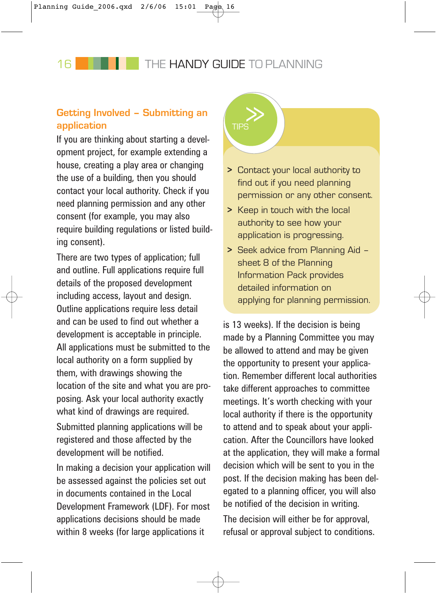16 **THE HANDY GUIDE** TO PLANNING

### >> **Getting Involved – Submitting an application**

If you are thinking about starting a development project, for example extending a house, creating a play area or changing the use of a building, then you should contact your local authority. Check if you need planning permission and any other consent (for example, you may also require building regulations or listed building consent).

There are two types of application; full and outline. Full applications require full details of the proposed development including access, layout and design. Outline applications require less detail and can be used to find out whether a development is acceptable in principle. All applications must be submitted to the local authority on a form supplied by them, with drawings showing the location of the site and what you are proposing. Ask your local authority exactly what kind of drawings are required.

Submitted planning applications will be registered and those affected by the development will be notified.

In making a decision your application will be assessed against the policies set out in documents contained in the Local Development Framework (LDF). For most applications decisions should be made within 8 weeks (for large applications it



- **>** Contact your local authority to find out if you need planning permission or any other consent.
- **>** Keep in touch with the local authority to see how your application is progressing.
- **>** Seek advice from Planning Aid sheet 8 of the Planning Information Pack provides detailed information on applying for planning permission.

is 13 weeks). If the decision is being made by a Planning Committee you may be allowed to attend and may be given the opportunity to present your application. Remember different local authorities take different approaches to committee meetings. It's worth checking with your local authority if there is the opportunity to attend and to speak about your application. After the Councillors have looked at the application, they will make a formal decision which will be sent to you in the post. If the decision making has been delegated to a planning officer, you will also be notified of the decision in writing.

The decision will either be for approval, refusal or approval subject to conditions.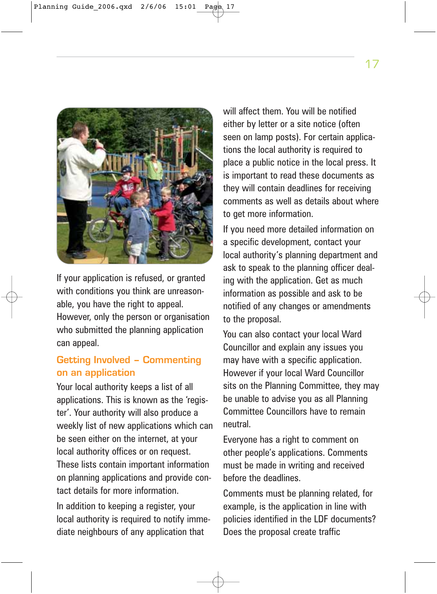

If your application is refused, or granted with conditions you think are unreasonable, you have the right to appeal. However, only the person or organisation who submitted the planning application can appeal.

### **Getting Involved – Commenting on an application**

Your local authority keeps a list of all applications. This is known as the 'register'. Your authority will also produce a weekly list of new applications which can be seen either on the internet, at your local authority offices or on request. These lists contain important information on planning applications and provide contact details for more information.

In addition to keeping a register, your local authority is required to notify immediate neighbours of any application that

will affect them. You will be notified either by letter or a site notice (often seen on lamp posts). For certain applications the local authority is required to place a public notice in the local press. It is important to read these documents as they will contain deadlines for receiving comments as well as details about where to get more information.

If you need more detailed information on a specific development, contact your local authority's planning department and ask to speak to the planning officer dealing with the application. Get as much information as possible and ask to be notified of any changes or amendments to the proposal.

You can also contact your local Ward Councillor and explain any issues you may have with a specific application. However if your local Ward Councillor sits on the Planning Committee, they may be unable to advise you as all Planning Committee Councillors have to remain neutral.

Everyone has a right to comment on other people's applications. Comments must be made in writing and received before the deadlines.

Comments must be planning related, for example, is the application in line with policies identified in the LDF documents? Does the proposal create traffic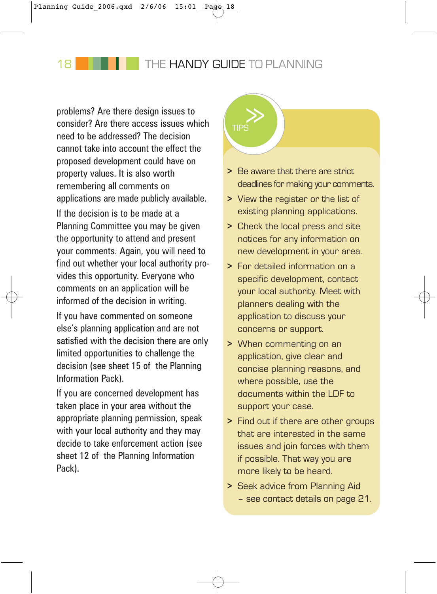18 **THE HANDY GUIDE TO PLANNING** 

problems? Are there design issues to<br>consider? Are there access issues which need to be addressed? The decision cannot take into account the effect the proposed development could have on property values. It is also worth remembering all comments on applications are made publicly available. If the decision is to be made at a Planning Committee you may be given the opportunity to attend and present your comments. Again, you will need to find out whether your local authority provides this opportunity. Everyone who comments on an application will be informed of the decision in writing.

If you have commented on someone else's planning application and are not satisfied with the decision there are only limited opportunities to challenge the decision (see sheet 15 of the Planning Information Pack).

If you are concerned development has taken place in your area without the appropriate planning permission, speak with your local authority and they may decide to take enforcement action (see sheet 12 of the Planning Information Pack).



- **>** Be aware that there are strict deadlines for making your comments.
- **>** View the register or the list of existing planning applications.
- **>** Check the local press and site notices for any information on new development in your area.
- **>** For detailed information on a specific development, contact your local authority. Meet with planners dealing with the application to discuss your concerns or support.
- **>** When commenting on an application, give clear and concise planning reasons, and where possible, use the documents within the LDF to support your case.
- **>** Find out if there are other groups that are interested in the same issues and join forces with them if possible. That way you are more likely to be heard.
- **>** Seek advice from Planning Aid – see contact details on page 21.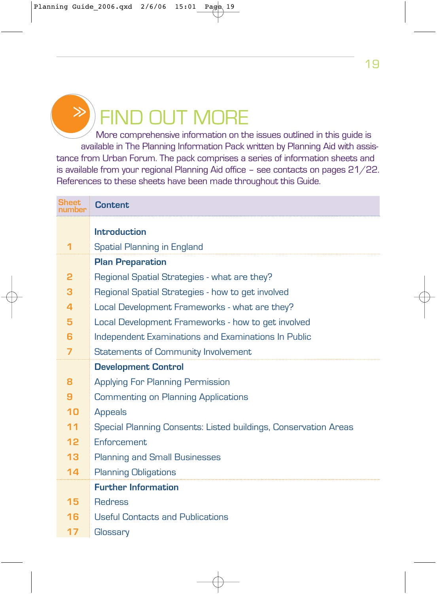

# **D OUT MORE**

More comprehensive information on the issues outlined in this guide is available in The Planning Information Pack written by Planning Aid with assistance from Urban Forum. The pack comprises a series of information sheets and is available from your regional Planning Aid office – see contacts on pages 21/22. References to these sheets have been made throughout this Guide.

| <b>Sheet</b>    | <b>Content</b>                                                  |
|-----------------|-----------------------------------------------------------------|
|                 | <b>Introduction</b>                                             |
| 1               | Spatial Planning in England                                     |
|                 | <b>Plan Preparation</b>                                         |
| 2               | Regional Spatial Strategies - what are they?                    |
| з               | Regional Spatial Strategies - how to get involved               |
| 4               | Local Development Frameworks - what are they?                   |
| 5               | Local Development Frameworks - how to get involved              |
| 6               | Independent Examinations and Examinations In Public             |
| $\overline{7}$  | Statements of Community Involvement                             |
|                 | <b>Development Control</b>                                      |
| 8               | <b>Applying For Planning Permission</b>                         |
| 9               | <b>Commenting on Planning Applications</b>                      |
| 10              | <b>Appeals</b>                                                  |
| 11              | Special Planning Consents: Listed buildings, Conservation Areas |
| 12 <sub>2</sub> | Enforcement                                                     |
| 13              | <b>Planning and Small Businesses</b>                            |
| 14              | <b>Planning Obligations</b>                                     |
|                 | <b>Further Information</b>                                      |
| 15              | <b>Redress</b>                                                  |
| 16              | <b>Useful Contacts and Publications</b>                         |
| 17              | Glossary                                                        |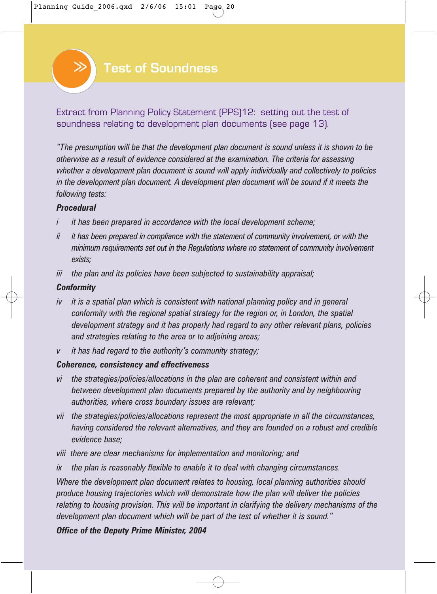

Extract from Planning Policy Statement (PPS)12: setting out the test of soundness relating to development plan documents (see page 13).

*"The presumption will be that the development plan document is sound unless it is shown to be otherwise as a result of evidence considered at the examination. The criteria for assessing whether a development plan document is sound will apply individually and collectively to policies in the development plan document. A development plan document will be sound if it meets the following tests:*

#### *Procedural*

- *i it has been prepared in accordance with the local development scheme;*
- *ii it has been prepared in compliance with the statement of community involvement, or with the minimum requirements set out in the Regulations where no statement of community involvement exists;*
- *iii the plan and its policies have been subjected to sustainability appraisal;*

#### *Conformity*

- *iv it is a spatial plan which is consistent with national planning policy and in general conformity with the regional spatial strategy for the region or, in London, the spatial development strategy and it has properly had regard to any other relevant plans, policies and strategies relating to the area or to adjoining areas;*
- *v it has had regard to the authority's community strategy;*

#### *Coherence, consistency and effectiveness*

- *vi the strategies/policies/allocations in the plan are coherent and consistent within and between development plan documents prepared by the authority and by neighbouring authorities, where cross boundary issues are relevant;*
- *vii the strategies/policies/allocations represent the most appropriate in all the circumstances, having considered the relevant alternatives, and they are founded on a robust and credible evidence base;*
- *viii there are clear mechanisms for implementation and monitoring; and*
- *ix the plan is reasonably flexible to enable it to deal with changing circumstances.*

*Where the development plan document relates to housing, local planning authorities should produce housing trajectories which will demonstrate how the plan will deliver the policies relating to housing provision. This will be important in clarifying the delivery mechanisms of the development plan document which will be part of the test of whether it is sound."*

### *Office of the Deputy Prime Minister, 2004*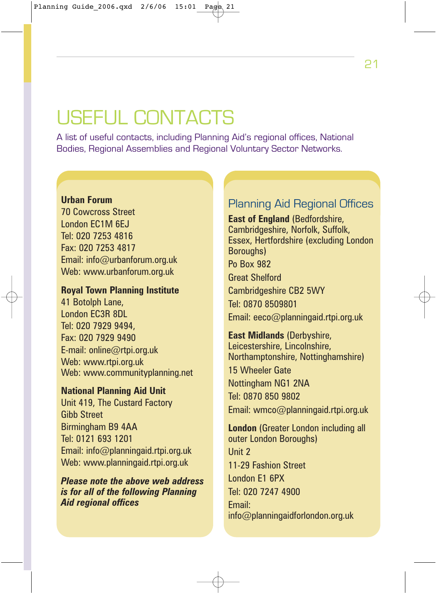# USEFUL CONTACTS

A list of useful contacts, including Planning Aid's regional offices, National Bodies, Regional Assemblies and Regional Voluntary Sector Networks.

### **Urban Forum**

70 Cowcross Street London EC1M 6EJ Tel: 020 7253 4816 Fax: 020 7253 4817 Email: info@urbanforum.org.uk Web: www.urbanforum.org.uk

### **Royal Town Planning Institute**

41 Botolph Lane, London EC3R 8DL Tel: 020 7929 9494, Fax: 020 7929 9490 E-mail: online@rtpi.org.uk Web: www.rtpi.org.uk Web: www.communityplanning.net

**National Planning Aid Unit** Unit 419, The Custard Factory Gibb Street Birmingham B9 4AA Tel: 0121 693 1201 Email: info@planningaid.rtpi.org.uk Web: www.planningaid.rtpi.org.uk

*Please note the above web address is for all of the following Planning Aid regional offices*

### Planning Aid Regional Offices

**East of England** (Bedfordshire, Cambridgeshire, Norfolk, Suffolk, Essex, Hertfordshire (excluding London Boroughs) Po Box 982 Great Shelford Cambridgeshire CB2 5WY Tel: 0870 8509801 Email: eeco@planningaid.rtpi.org.uk

**East Midlands** (Derbyshire, Leicestershire, Lincolnshire, Northamptonshire, Nottinghamshire) 15 Wheeler Gate Nottingham NG1 2NA Tel: 0870 850 9802 Email: wmco@planningaid.rtpi.org.uk

**London** (Greater London including all outer London Boroughs) Unit 2 11-29 Fashion Street London E1 6PX Tel: 020 7247 4900 Email: info@planningaidforlondon.org.uk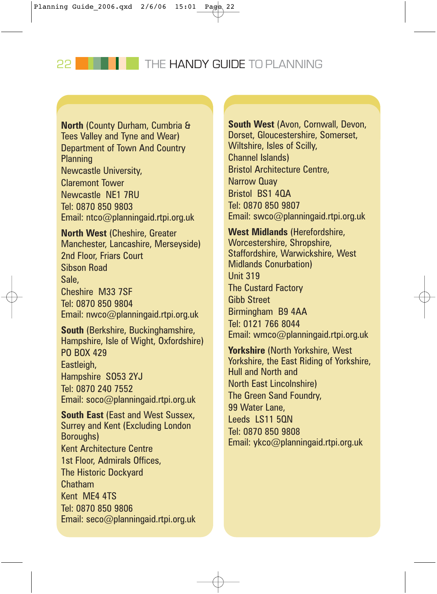22 **THE HANDY GUIDE TO PLANNING** 

**North** (County Durham, Cumbria & Tees Valley and Tyne and Wear) Department of Town And Country **Planning** Newcastle University, Claremont Tower Newcastle NE1 7RU Tel: 0870 850 9803 Email: ntco@planningaid.rtpi.org.uk

**North West** (Cheshire, Greater Manchester, Lancashire, Merseyside) 2nd Floor, Friars Court Sibson Road Sale, Cheshire M33 7SF Tel: 0870 850 9804 Email: nwco@planningaid.rtpi.org.uk

**South** (Berkshire, Buckinghamshire, Hampshire, Isle of Wight, Oxfordshire) PO BOX 429 Eastleigh, Hampshire SO53 2YJ Tel: 0870 240 7552 Email: soco@planningaid.rtpi.org.uk

**South East** (East and West Sussex, Surrey and Kent (Excluding London Boroughs) Kent Architecture Centre 1st Floor, Admirals Offices, The Historic Dockyard Chatham Kent ME4 4TS Tel: 0870 850 9806 Email: seco@planningaid.rtpi.org.uk

**South West** (Avon, Cornwall, Devon, Dorset, Gloucestershire, Somerset, Wiltshire, Isles of Scilly, Channel Islands) Bristol Architecture Centre, Narrow Quay Bristol BS1 4QA Tel: 0870 850 9807 Email: swco@planningaid.rtpi.org.uk

**West Midlands** (Herefordshire, Worcestershire, Shropshire, Staffordshire, Warwickshire, West Midlands Conurbation) Unit 319 The Custard Factory Gibb Street Birmingham B9 4AA Tel: 0121 766 8044 Email: wmco@planningaid.rtpi.org.uk

**Yorkshire** (North Yorkshire, West Yorkshire, the East Riding of Yorkshire, Hull and North and North East Lincolnshire) The Green Sand Foundry, 99 Water Lane, Leeds LS11 50N Tel: 0870 850 9808 Email: ykco@planningaid.rtpi.org.uk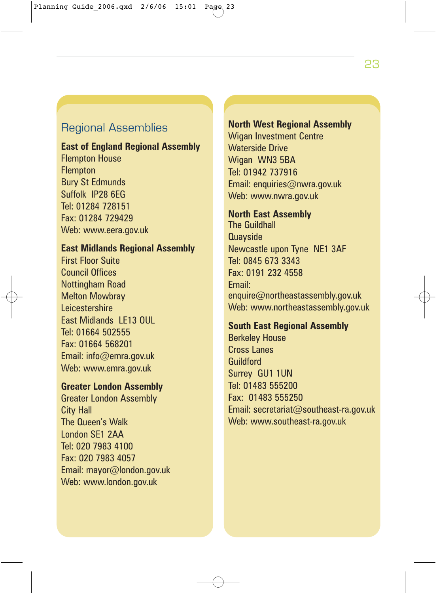### Regional Assemblies

### **East of England Regional Assembly** Flempton House **Flempton** Bury St Edmunds Suffolk IP28 6EG Tel: 01284 728151 Fax: 01284 729429

Web: www.eera.gov.uk

### **East Midlands Regional Assembly**

First Floor Suite Council Offices Nottingham Road Melton Mowbray **Leicestershire** East Midlands LE13 OUL Tel: 01664 502555 Fax: 01664 568201 Email: info@emra.gov.uk Web: www.emra.gov.uk

### **Greater London Assembly**

Greater London Assembly City Hall The Queen's Walk London SE1 2AA Tel: 020 7983 4100 Fax: 020 7983 4057 Email: mayor@london.gov.uk Web: www.london.gov.uk

### **North West Regional Assembly**

Wigan Investment Centre Waterside Drive Wigan WN3 5BA Tel: 01942 737916 Email: enquiries@nwra.gov.uk Web: www.nwra.gov.uk

### **North East Assembly**

The Guildhall **Quavside** Newcastle upon Tyne NE1 3AF Tel: 0845 673 3343 Fax: 0191 232 4558 Email: enquire@northeastassembly.gov.uk Web: www.northeastassembly.gov.uk

#### **South East Regional Assembly**

Berkeley House Cross Lanes **Guildford** Surrey GU1 1UN Tel: 01483 555200 Fax: 01483 555250 Email: secretariat@southeast-ra.gov.uk Web: www.southeast-ra.gov.uk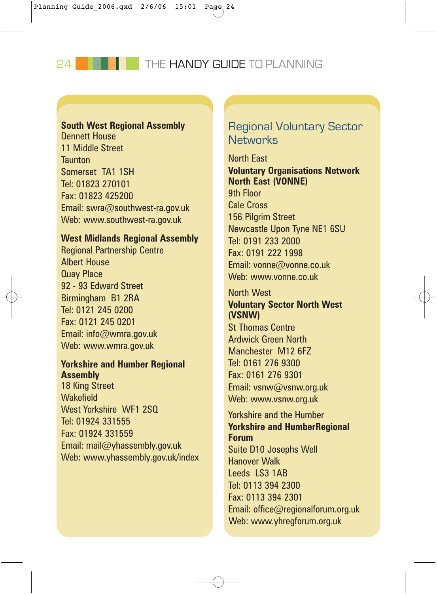24 **THE HANDY GUIDE TO PLANNING** 

### **South West Regional Assembly**

Dennett House 11 Middle Street **Taunton** Somerset TA1 1SH Tel: 01823 270101 Fax: 01823 425200 Email: swra@southwest-ra.gov.uk Web: www.southwest-ra.gov.uk

#### **West Midlands Regional Assembly**

Regional Partnership Centre Albert House Quay Place 92 - 93 Edward Street Birmingham B1 2RA Tel: 0121 245 0200 Fax: 0121 245 0201 Email: info@wmra.gov.uk Web: www.wmra.gov.uk

### **Yorkshire and Humber Regional Assembly**

18 King Street **Wakefield** West Yorkshire WF1 2SQ Tel: 01924 331555 Fax: 01924 331559 Email: mail@yhassembly.gov.uk Web: www.yhassembly.gov.uk/index

### Regional Voluntary Sector **Networks**

North East **Voluntary Organisations Network North East (VONNE)** 9th Floor Cale Cross 156 Pilgrim Street Newcastle Upon Tyne NE1 6SU Tel: 0191 233 2000 Fax: 0191 222 1998 Email: vonne@vonne.co.uk Web: www.vonne.co.uk

### North West **Voluntary Sector North West (VSNW)**

St Thomas Centre Ardwick Green North Manchester M12 6FZ Tel: 0161 276 9300 Fax: 0161 276 9301 Email: vsnw@vsnw.org.uk Web: www.vsnw.org.uk

Yorkshire and the Humber **Yorkshire and HumberRegional Forum**  Suite D10 Josephs Well Hanover Walk Leeds LS3 1AB Tel: 0113 394 2300 Fax: 0113 394 2301 Email: office@regionalforum.org.uk Web: www.yhregforum.org.uk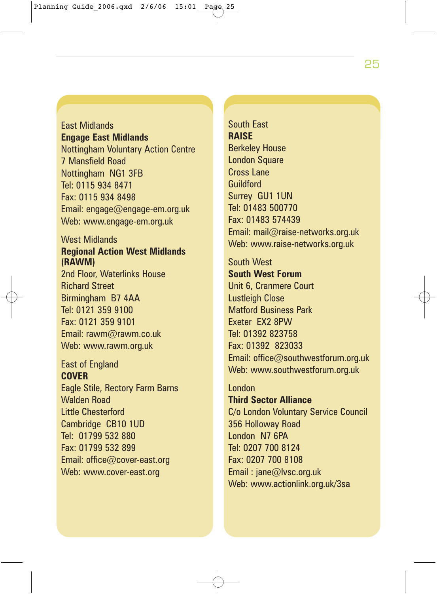25

East Midlands **Engage East Midlands** Nottingham Voluntary Action Centre 7 Mansfield Road Nottingham NG1 3FB Tel: 0115 934 8471 Fax: 0115 934 8498 Email: engage@engage-em.org.uk Web: www.engage-em.org.uk

### West Midlands **Regional Action West Midlands (RAWM)**

2nd Floor, Waterlinks House Richard Street Birmingham B7 4AA Tel: 0121 359 9100 Fax: 0121 359 9101 Email: rawm@rawm.co.uk Web: www.rawm.org.uk

East of England **COVER**  Eagle Stile, Rectory Farm Barns Walden Road Little Chesterford Cambridge CB10 1UD Tel: 01799 532 880 Fax: 01799 532 899 Email: office@cover-east.org Web: www.cover-east.org

South East **RAISE** Berkeley House **London Square** Cross Lane Guildford Surrey GU1 1UN Tel: 01483 500770 Fax: 01483 574439 Email: mail@raise-networks.org.uk Web: www.raise-networks.org.uk

South West **South West Forum** Unit 6, Cranmere Court Lustleigh Close Matford Business Park Exeter EX2 8PW Tel: 01392 823758 Fax: 01392 823033 Email: office@southwestforum.org.uk Web: www.southwestforum.org.uk

**Third Sector Alliance** C/o London Voluntary Service Council 356 Holloway Road London N7 6PA Tel: 0207 700 8124 Fax: 0207 700 8108 Email : jane@lvsc.org.uk Web: www.actionlink.org.uk/3sa

London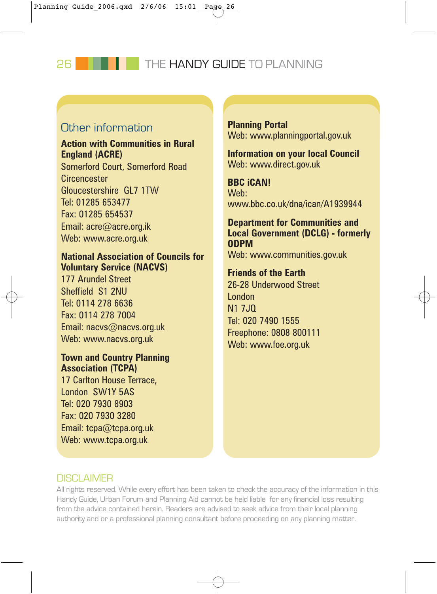26 **THE HANDY GUIDE TO PLANNING** 

### Other information

### **Action with Communities in Rural England (ACRE)**

Somerford Court, Somerford Road **Circencester** Gloucestershire GL7 1TW Tel: 01285 653477 Fax: 01285 654537 Email: acre@acre.org.ik Web: www.acre.org.uk

### **National Association of Councils for Voluntary Service (NACVS)**

177 Arundel Street Sheffield S1 2NU Tel: 0114 278 6636 Fax: 0114 278 7004 Email: nacvs@nacvs.org.uk Web: www.nacvs.org.uk

### **Town and Country Planning Association (TCPA)**

17 Carlton House Terrace, London SW1Y 5AS Tel: 020 7930 8903 Fax: 020 7930 3280 Email: tcpa@tcpa.org.uk Web: www.tcpa.org.uk

**Planning Portal**  Web: www.planningportal.gov.uk

**Information on your local Council** Web: www.direct.gov.uk

**BBC iCAN!**  Web: www.bbc.co.uk/dna/ican/A1939944

**Department for Communities and Local Government (DCLG) - formerly ODPM** Web: www.communities.gov.uk

### **Friends of the Earth**

26-28 Underwood Street London N<sub>1</sub> 7.IQ Tel: 020 7490 1555 Freephone: 0808 800111 Web: www.foe.org.uk

### **DISCLAIMER**

All rights reserved. While every effort has been taken to check the accuracy of the information in this Handy Guide, Urban Forum and Planning Aid cannot be held liable for any financial loss resulting from the advice contained herein. Readers are advised to seek advice from their local planning authority and or a professional planning consultant before proceeding on any planning matter.